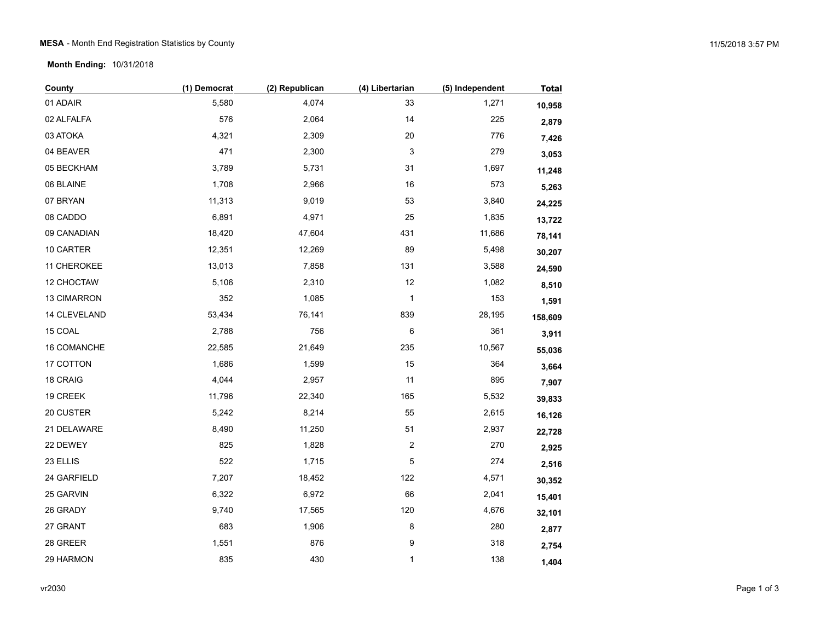## MESA - Month End Registration Statistics by County 11/5/2018 3:57 PM

**Month Ending:** 10/31/2018

| County       | (1) Democrat | (2) Republican | (4) Libertarian | (5) Independent | <b>Total</b> |
|--------------|--------------|----------------|-----------------|-----------------|--------------|
| 01 ADAIR     | 5,580        | 4,074          | 33              | 1,271           | 10,958       |
| 02 ALFALFA   | 576          | 2,064          | 14              | 225             | 2,879        |
| 03 ATOKA     | 4,321        | 2,309          | $20\,$          | 776             | 7,426        |
| 04 BEAVER    | 471          | 2,300          | 3               | 279             | 3,053        |
| 05 BECKHAM   | 3,789        | 5,731          | 31              | 1,697           | 11,248       |
| 06 BLAINE    | 1,708        | 2,966          | 16              | 573             | 5,263        |
| 07 BRYAN     | 11,313       | 9,019          | 53              | 3,840           | 24,225       |
| 08 CADDO     | 6,891        | 4,971          | 25              | 1,835           | 13,722       |
| 09 CANADIAN  | 18,420       | 47,604         | 431             | 11,686          | 78,141       |
| 10 CARTER    | 12,351       | 12,269         | 89              | 5,498           | 30,207       |
| 11 CHEROKEE  | 13,013       | 7,858          | 131             | 3,588           | 24,590       |
| 12 CHOCTAW   | 5,106        | 2,310          | 12              | 1,082           | 8,510        |
| 13 CIMARRON  | 352          | 1,085          | 1               | 153             | 1,591        |
| 14 CLEVELAND | 53,434       | 76,141         | 839             | 28,195          | 158,609      |
| 15 COAL      | 2,788        | 756            | 6               | 361             | 3,911        |
| 16 COMANCHE  | 22,585       | 21,649         | 235             | 10,567          | 55,036       |
| 17 COTTON    | 1,686        | 1,599          | 15              | 364             | 3,664        |
| 18 CRAIG     | 4,044        | 2,957          | 11              | 895             | 7,907        |
| 19 CREEK     | 11,796       | 22,340         | 165             | 5,532           | 39,833       |
| 20 CUSTER    | 5,242        | 8,214          | 55              | 2,615           | 16,126       |
| 21 DELAWARE  | 8,490        | 11,250         | 51              | 2,937           | 22,728       |
| 22 DEWEY     | 825          | 1,828          | 2               | 270             | 2,925        |
| 23 ELLIS     | 522          | 1,715          | 5               | 274             | 2,516        |
| 24 GARFIELD  | 7,207        | 18,452         | 122             | 4,571           | 30,352       |
| 25 GARVIN    | 6,322        | 6,972          | 66              | 2,041           | 15,401       |
| 26 GRADY     | 9,740        | 17,565         | 120             | 4,676           | 32,101       |
| 27 GRANT     | 683          | 1,906          | 8               | 280             | 2,877        |
| 28 GREER     | 1,551        | 876            | 9               | 318             | 2,754        |
| 29 HARMON    | 835          | 430            | $\mathbf{1}$    | 138             | 1,404        |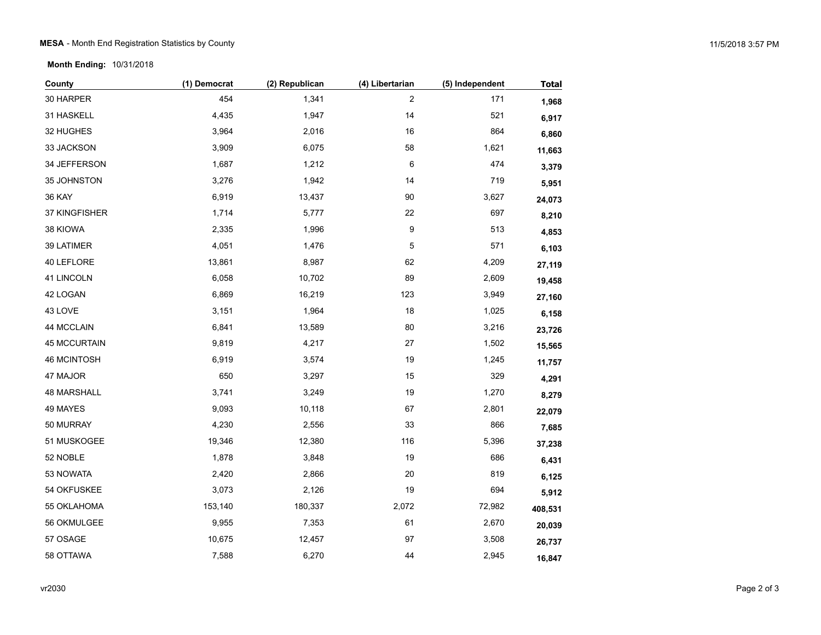**Month Ending:** 10/31/2018

| County              | (1) Democrat | (2) Republican | (4) Libertarian | (5) Independent | <b>Total</b> |
|---------------------|--------------|----------------|-----------------|-----------------|--------------|
| 30 HARPER           | 454          | 1,341          | $\overline{c}$  | 171             | 1,968        |
| 31 HASKELL          | 4,435        | 1,947          | 14              | 521             | 6,917        |
| 32 HUGHES           | 3,964        | 2,016          | 16              | 864             | 6,860        |
| 33 JACKSON          | 3,909        | 6,075          | 58              | 1,621           | 11,663       |
| 34 JEFFERSON        | 1,687        | 1,212          | 6               | 474             | 3,379        |
| 35 JOHNSTON         | 3,276        | 1,942          | 14              | 719             | 5,951        |
| <b>36 KAY</b>       | 6,919        | 13,437         | 90              | 3,627           | 24,073       |
| 37 KINGFISHER       | 1,714        | 5,777          | 22              | 697             | 8,210        |
| 38 KIOWA            | 2,335        | 1,996          | 9               | 513             | 4,853        |
| 39 LATIMER          | 4,051        | 1,476          | 5               | 571             | 6,103        |
| 40 LEFLORE          | 13,861       | 8,987          | 62              | 4,209           | 27,119       |
| 41 LINCOLN          | 6,058        | 10,702         | 89              | 2,609           | 19,458       |
| 42 LOGAN            | 6,869        | 16,219         | 123             | 3,949           | 27,160       |
| 43 LOVE             | 3,151        | 1,964          | 18              | 1,025           | 6,158        |
| 44 MCCLAIN          | 6,841        | 13,589         | 80              | 3,216           | 23,726       |
| <b>45 MCCURTAIN</b> | 9,819        | 4,217          | $27\,$          | 1,502           | 15,565       |
| <b>46 MCINTOSH</b>  | 6,919        | 3,574          | 19              | 1,245           | 11,757       |
| 47 MAJOR            | 650          | 3,297          | 15              | 329             | 4,291        |
| <b>48 MARSHALL</b>  | 3,741        | 3,249          | 19              | 1,270           | 8,279        |
| 49 MAYES            | 9,093        | 10,118         | 67              | 2,801           | 22,079       |
| 50 MURRAY           | 4,230        | 2,556          | 33              | 866             | 7,685        |
| 51 MUSKOGEE         | 19,346       | 12,380         | 116             | 5,396           | 37,238       |
| 52 NOBLE            | 1,878        | 3,848          | 19              | 686             | 6,431        |
| 53 NOWATA           | 2,420        | 2,866          | 20              | 819             | 6,125        |
| 54 OKFUSKEE         | 3,073        | 2,126          | 19              | 694             | 5,912        |
| 55 OKLAHOMA         | 153,140      | 180,337        | 2,072           | 72,982          | 408,531      |
| 56 OKMULGEE         | 9,955        | 7,353          | 61              | 2,670           | 20,039       |
| 57 OSAGE            | 10,675       | 12,457         | 97              | 3,508           | 26,737       |
| 58 OTTAWA           | 7,588        | 6,270          | 44              | 2,945           | 16,847       |